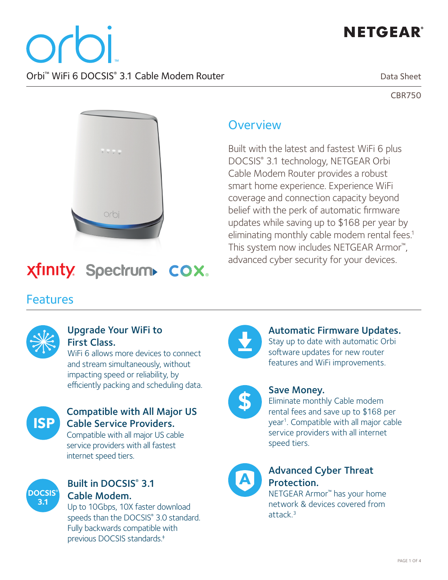# **NETGEAR®**

Orbi™ WiFi 6 DOCSIS® 3.1 Cable Modem Router

Data Sheet

CBR750



#### **Overview**

Built with the latest and fastest WiFi 6 plus DOCSIS® 3.1 technology, NETGEAR Orbi Cable Modem Router provides a robust smart home experience. Experience WiFi coverage and connection capacity beyond belief with the perk of automatic firmware updates while saving up to \$168 per year by eliminating monthly cable modem rental fees.<sup>1</sup> This system now includes NETGEAR Armor™, advanced cyber security for your devices.

# **Xfinity.** Spectrum COX.

#### Features



#### Upgrade Your WiFi to First Class.

WiFi 6 allows more devices to connect and stream simultaneously, without impacting speed or reliability, by efficiently packing and scheduling data. Save Money.



#### Compatible with All Major US Cable Service Providers.

Compatible with all major US cable service providers with all fastest internet speed tiers.



#### Built in DOCSIS® 3.1 Cable Modem.

Up to 10Gbps, 10X faster download speeds than the DOCSIS® 3.0 standard. Fully backwards compatible with previous DOCSIS standards.‡



#### Automatic Firmware Updates.

Stay up to date with automatic Orbi software updates for new router features and WiFi improvements.



Eliminate monthly Cable modem rental fees and save up to \$168 per year<sup>1</sup>. Compatible with all major cable service providers with all internet speed tiers.



#### Advanced Cyber Threat Protection.

NETGEAR Armor™ has your home network & devices covered from attack $3$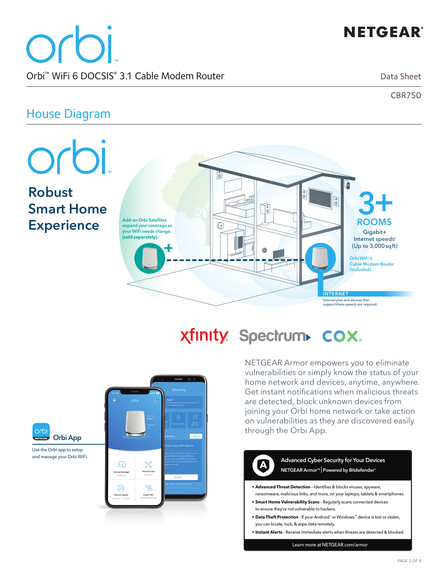# **NETGEAR®**

orbi Orbi™ WiFi 6 DOCSIS® 3.1 Cable Modem Router

Data Sheet

CBR750

#### House Diagram

**Robust** 

**Experience**

orbi **3+ ROOMS**  $\boxed{\circ}$ **Smart Home**   $\sqrt{\frac{6}{10}}$ **Add-on Orbi Satellites**  ⋒ **expand your coverage as your WiFi needs change.**  Gigabit+ **(sold separately).** Internet speeds² (Up to 3,000sqft) **Orbi WiFi 6 Cable Modem Router (Included) INTERNET** <sup>2</sup>Internet plan and devices that support these speeds are required.

xfinity. Spectrum COX.

NETGEAR Armor empowers you to eliminate vulnerabilities or simply know the status of your home network and devices, anytime, anywhere. Get instant notifications when malicious threats are detected, block unknown devices from joining your Orbi home network or take action on vulnerabilities as they are discovered easily through the Orbi App.



orbi **Orbi App** Use the Orbi app to setup

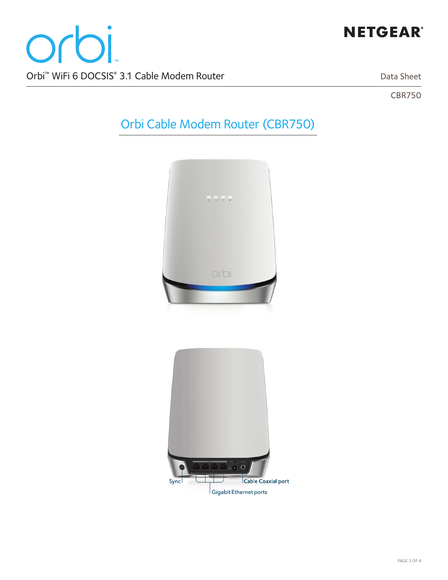# **NETGEAR®**

Data Sheet

CBR750

# Orbi Cable Modem Router (CBR750)